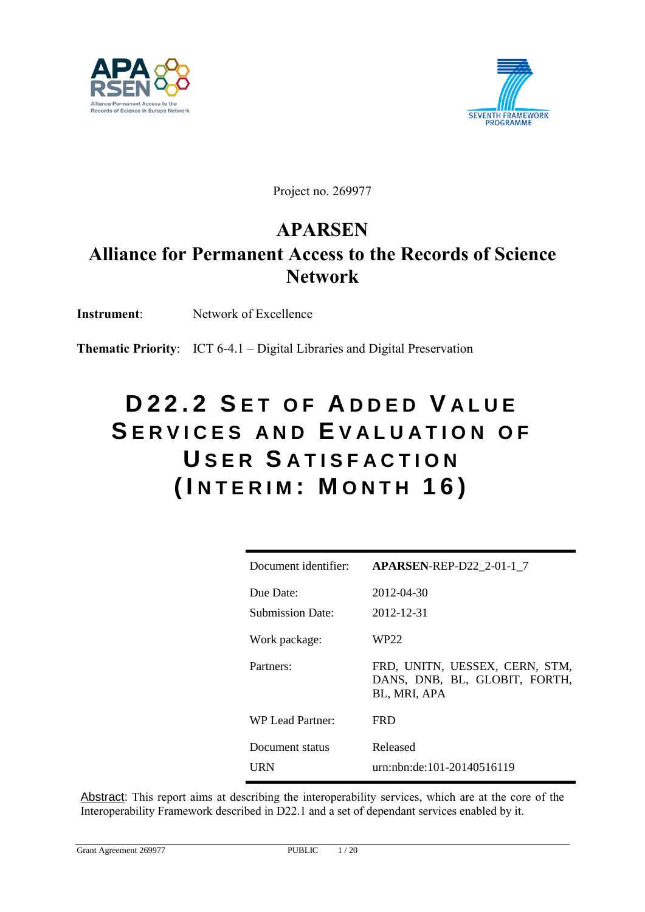



Project no. 269977

## **APARSEN**

# **Alliance for Permanent Access to the Records of Science Network**

**Instrument**: Network of Excellence

**Thematic Priority**: ICT 6-4.1 – Digital Libraries and Digital Preservation

# **D 2 2 . 2 S E T O F A D D E D V A L U E**  SERVICES AND **EVALUATION** OF **U S E R S A T I S F A C T I O N ( I N T E R I M : M O N T H 16)**

| Document identifier:          | <b>APARSEN-REP-D22 2-01-1 7</b>                                                 |
|-------------------------------|---------------------------------------------------------------------------------|
| Due Date:<br>Submission Date: | 2012-04-30<br>2012-12-31                                                        |
| Work package:                 | WP22                                                                            |
| Partners:                     | FRD, UNITN, UESSEX, CERN, STM,<br>DANS, DNB, BL, GLOBIT, FORTH,<br>BL, MRI, APA |
| WP Lead Partner:              | <b>FRD</b>                                                                      |
| Document status               | Released                                                                        |
| URN                           | urn:nbn:de:101-20140516119                                                      |

Abstract: This report aims at describing the interoperability services, which are at the core of the Interoperability Framework described in D22.1 and a set of dependant services enabled by it.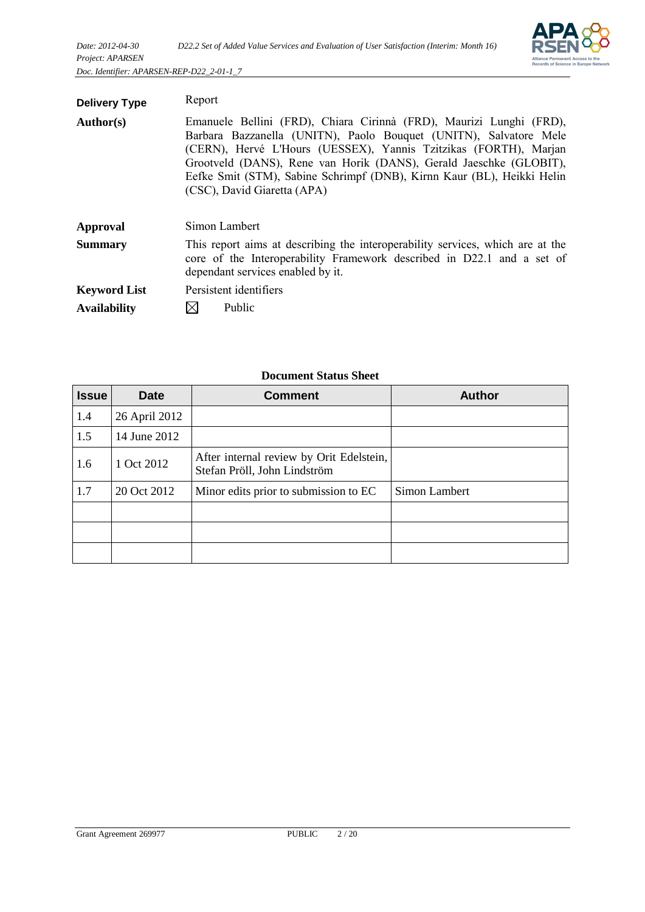

| <b>Delivery Type</b> | Report                                                                                                                                                                                                                                                                                                                                                                                      |  |
|----------------------|---------------------------------------------------------------------------------------------------------------------------------------------------------------------------------------------------------------------------------------------------------------------------------------------------------------------------------------------------------------------------------------------|--|
| <b>Author(s)</b>     | Emanuele Bellini (FRD), Chiara Cirinnà (FRD), Maurizi Lunghi (FRD),<br>Barbara Bazzanella (UNITN), Paolo Bouquet (UNITN), Salvatore Mele<br>(CERN), Hervé L'Hours (UESSEX), Yannis Tzitzikas (FORTH), Marjan<br>Grootveld (DANS), Rene van Horik (DANS), Gerald Jaeschke (GLOBIT),<br>Eefke Smit (STM), Sabine Schrimpf (DNB), Kirnn Kaur (BL), Heikki Helin<br>(CSC), David Giaretta (APA) |  |
| Approval             | Simon Lambert                                                                                                                                                                                                                                                                                                                                                                               |  |
| <b>Summary</b>       | This report aims at describing the interoperability services, which are at the<br>core of the Interoperability Framework described in D22.1 and a set of<br>dependant services enabled by it.                                                                                                                                                                                               |  |
| <b>Keyword List</b>  | Persistent identifiers                                                                                                                                                                                                                                                                                                                                                                      |  |
| <b>Availability</b>  | Public                                                                                                                                                                                                                                                                                                                                                                                      |  |

| <b>Issue</b> | <b>Date</b>   | <b>Comment</b>                                                           | <b>Author</b> |
|--------------|---------------|--------------------------------------------------------------------------|---------------|
| 1.4          | 26 April 2012 |                                                                          |               |
| 1.5          | 14 June 2012  |                                                                          |               |
| 1.6          | 1 Oct 2012    | After internal review by Orit Edelstein,<br>Stefan Pröll, John Lindström |               |
| 1.7          | 20 Oct 2012   | Minor edits prior to submission to EC                                    | Simon Lambert |
|              |               |                                                                          |               |
|              |               |                                                                          |               |
|              |               |                                                                          |               |

#### **Document Status Sheet**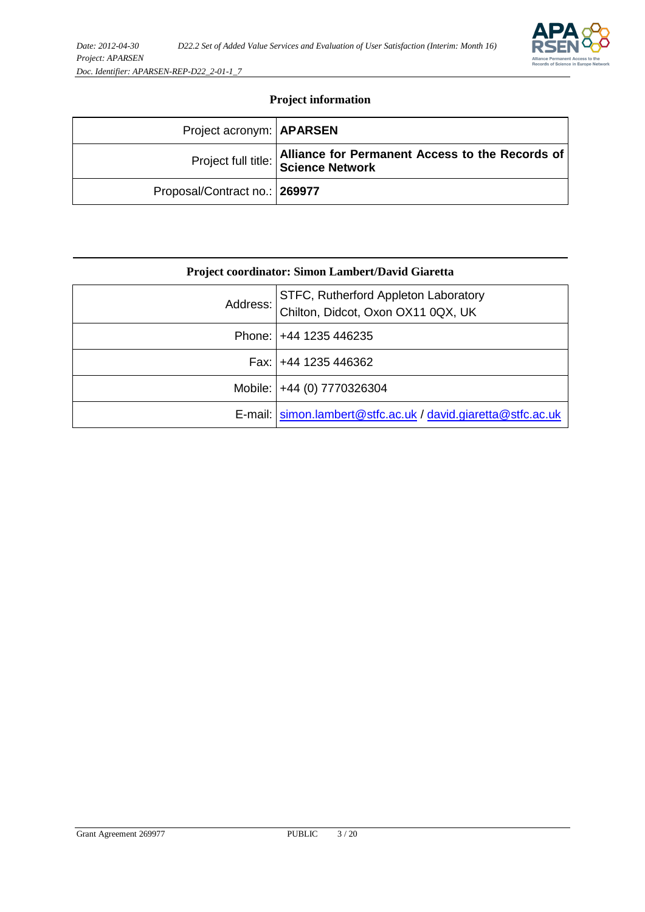#### **Project information**

| Project acronym: <b>APARSEN</b> |                                                                                        |
|---------------------------------|----------------------------------------------------------------------------------------|
|                                 | Alliance for Permanent Access to the Records of<br>Project full title: Science Network |
| Proposal/Contract no.: 269977   |                                                                                        |

| Project coordinator: Simon Lambert/David Giaretta |                                                                            |  |  |  |
|---------------------------------------------------|----------------------------------------------------------------------------|--|--|--|
| Address: I                                        | STFC, Rutherford Appleton Laboratory<br>Chilton, Didcot, Oxon OX11 0QX, UK |  |  |  |
|                                                   | Phone:   +44 1235 446235                                                   |  |  |  |
|                                                   | Fax: $+44$ 1235 446362                                                     |  |  |  |
|                                                   | Mobile:   +44 (0) 7770326304                                               |  |  |  |
|                                                   | E-mail: simon.lambert@stfc.ac.uk / david.giaretta@stfc.ac.uk               |  |  |  |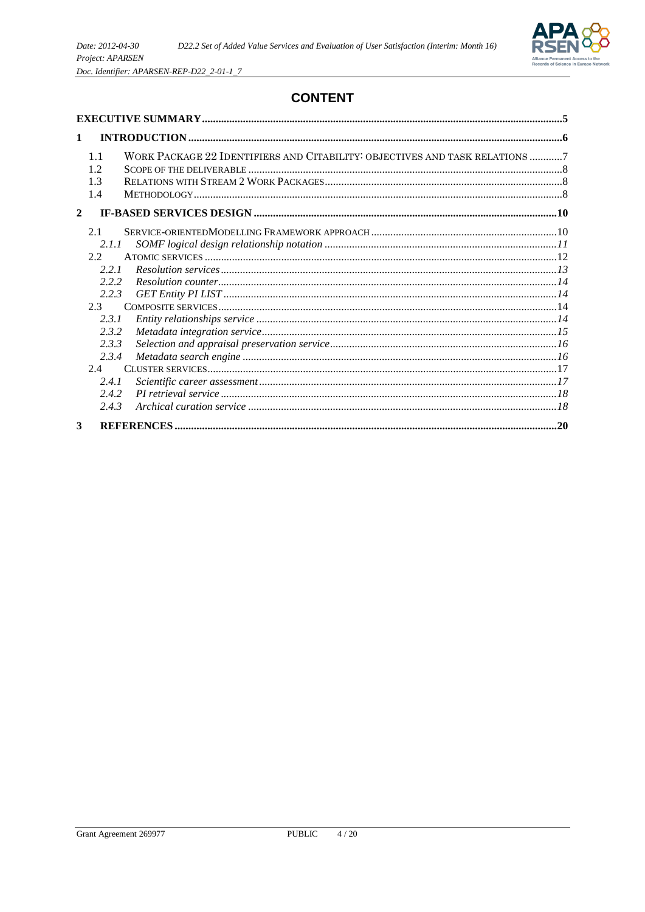

## **CONTENT**

| $\mathbf{1}$ |                                                                                                                                  |                                                                             |  |  |
|--------------|----------------------------------------------------------------------------------------------------------------------------------|-----------------------------------------------------------------------------|--|--|
|              | 1.1<br>1.2<br>1.3<br>1.4                                                                                                         | WORK PACKAGE 22 IDENTIFIERS AND CITABILITY: OBJECTIVES AND TASK RELATIONS 7 |  |  |
| $\mathbf{2}$ |                                                                                                                                  |                                                                             |  |  |
|              | 2.1<br>2.1.1<br>2.2.<br>2.2.1<br>2.2.2<br>2.2.3<br>$2.3 -$<br>2.3.1<br>2.3.2<br>2.3.3<br>2.3.4<br>2.4<br>2.4.1<br>2.4.2<br>2.4.3 |                                                                             |  |  |
| 3            |                                                                                                                                  |                                                                             |  |  |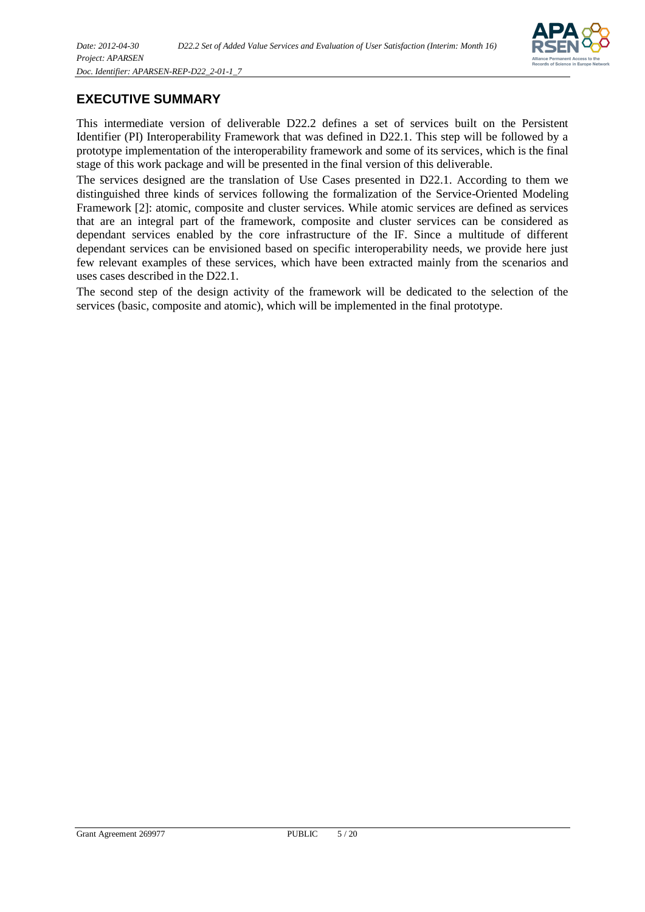

### <span id="page-4-0"></span>**EXECUTIVE SUMMARY**

This intermediate version of deliverable D22.2 defines a set of services built on the Persistent Identifier (PI) Interoperability Framework that was defined in D22.1. This step will be followed by a prototype implementation of the interoperability framework and some of its services, which is the final stage of this work package and will be presented in the final version of this deliverable.

The services designed are the translation of Use Cases presented in D22.1. According to them we distinguished three kinds of services following the formalization of the Service-Oriented Modeling Framework [2]: atomic, composite and cluster services. While atomic services are defined as services that are an integral part of the framework, composite and cluster services can be considered as dependant services enabled by the core infrastructure of the IF. Since a multitude of different dependant services can be envisioned based on specific interoperability needs, we provide here just few relevant examples of these services, which have been extracted mainly from the scenarios and uses cases described in the D22.1.

The second step of the design activity of the framework will be dedicated to the selection of the services (basic, composite and atomic), which will be implemented in the final prototype.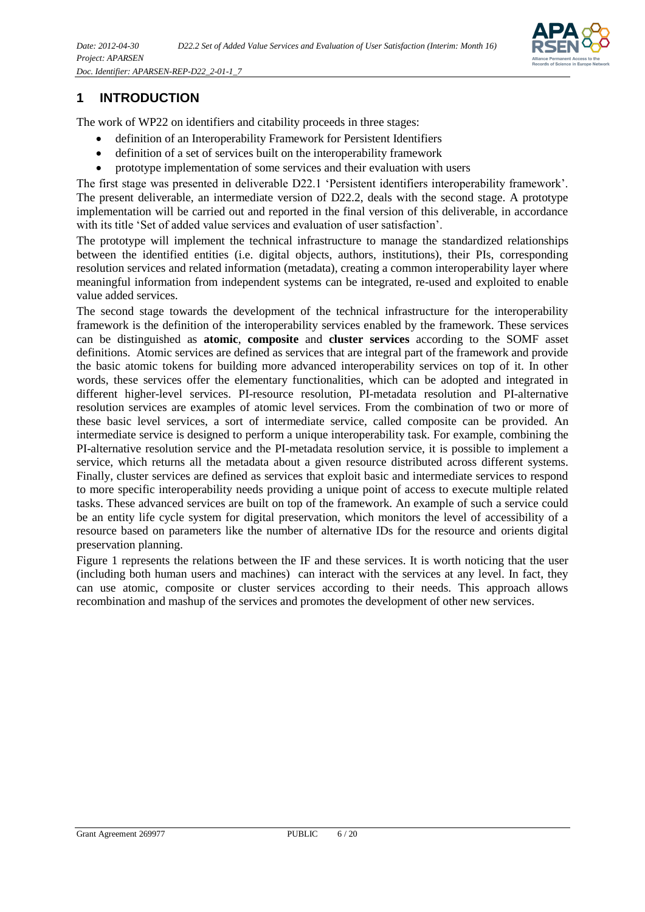

## <span id="page-5-0"></span>**1 INTRODUCTION**

The work of WP22 on identifiers and citability proceeds in three stages:

- definition of an Interoperability Framework for Persistent Identifiers
- definition of a set of services built on the interoperability framework
- prototype implementation of some services and their evaluation with users

The first stage was presented in deliverable D22.1 'Persistent identifiers interoperability framework'. The present deliverable, an intermediate version of D22.2, deals with the second stage. A prototype implementation will be carried out and reported in the final version of this deliverable, in accordance with its title 'Set of added value services and evaluation of user satisfaction'.

The prototype will implement the technical infrastructure to manage the standardized relationships between the identified entities (i.e. digital objects, authors, institutions), their PIs, corresponding resolution services and related information (metadata), creating a common interoperability layer where meaningful information from independent systems can be integrated, re-used and exploited to enable value added services.

The second stage towards the development of the technical infrastructure for the interoperability framework is the definition of the interoperability services enabled by the framework. These services can be distinguished as **atomic**, **composite** and **cluster services** according to the SOMF asset definitions. Atomic services are defined as services that are integral part of the framework and provide the basic atomic tokens for building more advanced interoperability services on top of it. In other words, these services offer the elementary functionalities, which can be adopted and integrated in different higher-level services. PI-resource resolution, PI-metadata resolution and PI-alternative resolution services are examples of atomic level services. From the combination of two or more of these basic level services, a sort of intermediate service, called composite can be provided. An intermediate service is designed to perform a unique interoperability task. For example, combining the PI-alternative resolution service and the PI-metadata resolution service, it is possible to implement a service, which returns all the metadata about a given resource distributed across different systems. Finally, cluster services are defined as services that exploit basic and intermediate services to respond to more specific interoperability needs providing a unique point of access to execute multiple related tasks. These advanced services are built on top of the framework. An example of such a service could be an entity life cycle system for digital preservation, which monitors the level of accessibility of a resource based on parameters like the number of alternative IDs for the resource and orients digital preservation planning.

Figure 1 represents the relations between the IF and these services. It is worth noticing that the user (including both human users and machines) can interact with the services at any level. In fact, they can use atomic, composite or cluster services according to their needs. This approach allows recombination and mashup of the services and promotes the development of other new services.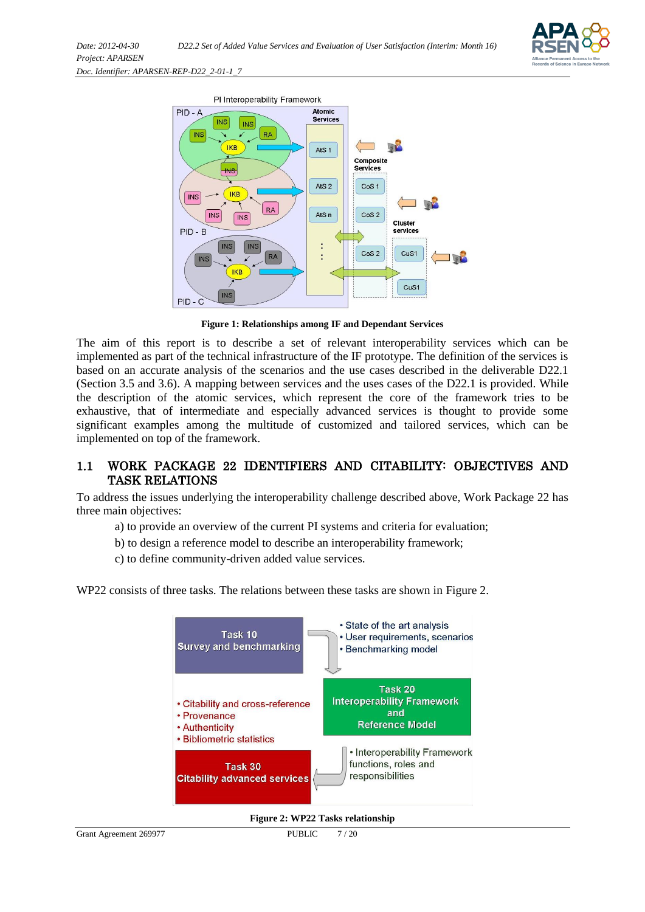



**Figure 1: Relationships among IF and Dependant Services**

The aim of this report is to describe a set of relevant interoperability services which can be implemented as part of the technical infrastructure of the IF prototype. The definition of the services is based on an accurate analysis of the scenarios and the use cases described in the deliverable D22.1 (Section 3.5 and 3.6). A mapping between services and the uses cases of the D22.1 is provided. While the description of the atomic services, which represent the core of the framework tries to be exhaustive, that of intermediate and especially advanced services is thought to provide some significant examples among the multitude of customized and tailored services, which can be implemented on top of the framework.

#### <span id="page-6-0"></span>1.1 WORK PACKAGE 22 IDENTIFIERS AND CITABILITY: OBJECTIVES AND TASK RELATIONS

To address the issues underlying the interoperability challenge described above, Work Package 22 has three main objectives:

- a) to provide an overview of the current PI systems and criteria for evaluation;
- b) to design a reference model to describe an interoperability framework;
- c) to define community-driven added value services.

WP22 consists of three tasks. The relations between these tasks are shown in Figure 2.



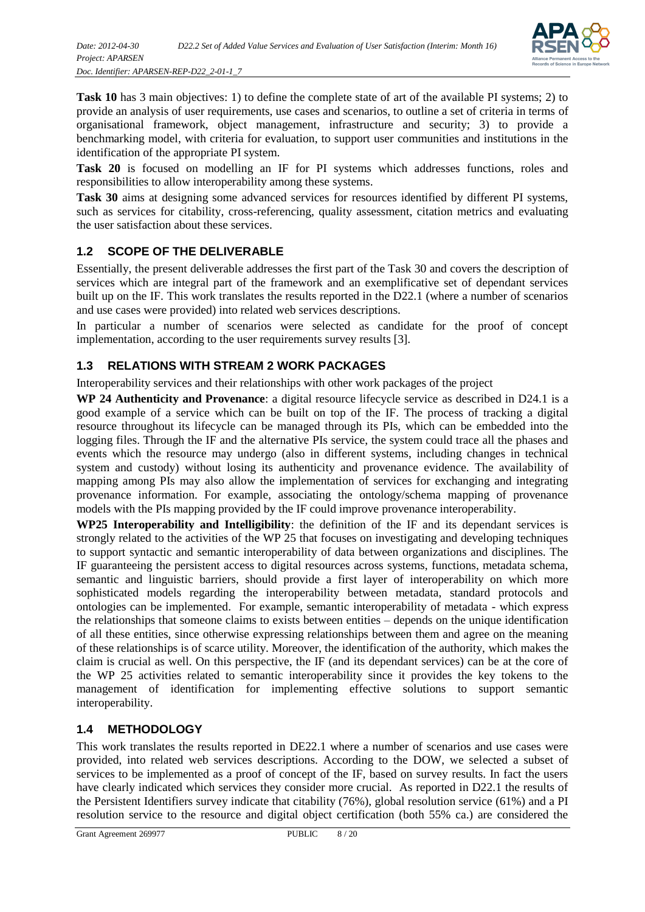

**Task 10** has 3 main objectives: 1) to define the complete state of art of the available PI systems; 2) to provide an analysis of user requirements, use cases and scenarios, to outline a set of criteria in terms of organisational framework, object management, infrastructure and security; 3) to provide a benchmarking model, with criteria for evaluation, to support user communities and institutions in the identification of the appropriate PI system.

**Task 20** is focused on modelling an IF for PI systems which addresses functions, roles and responsibilities to allow interoperability among these systems.

**Task 30** aims at designing some advanced services for resources identified by different PI systems, such as services for citability, cross-referencing, quality assessment, citation metrics and evaluating the user satisfaction about these services.

#### <span id="page-7-0"></span>**1.2 SCOPE OF THE DELIVERABLE**

Essentially, the present deliverable addresses the first part of the Task 30 and covers the description of services which are integral part of the framework and an exemplificative set of dependant services built up on the IF. This work translates the results reported in the D22.1 (where a number of scenarios and use cases were provided) into related web services descriptions.

In particular a number of scenarios were selected as candidate for the proof of concept implementation, according to the user requirements survey results [3].

#### <span id="page-7-1"></span>**1.3 RELATIONS WITH STREAM 2 WORK PACKAGES**

Interoperability services and their relationships with other work packages of the project

**WP 24 Authenticity and Provenance**: a digital resource lifecycle service as described in D24.1 is a good example of a service which can be built on top of the IF. The process of tracking a digital resource throughout its lifecycle can be managed through its PIs, which can be embedded into the logging files. Through the IF and the alternative PIs service, the system could trace all the phases and events which the resource may undergo (also in different systems, including changes in technical system and custody) without losing its authenticity and provenance evidence. The availability of mapping among PIs may also allow the implementation of services for exchanging and integrating provenance information. For example, associating the ontology/schema mapping of provenance models with the PIs mapping provided by the IF could improve provenance interoperability.

**WP25 Interoperability and Intelligibility**: the definition of the IF and its dependant services is strongly related to the activities of the WP 25 that focuses on investigating and developing techniques to support syntactic and semantic interoperability of data between organizations and disciplines. The IF guaranteeing the persistent access to digital resources across systems, functions, metadata schema, semantic and linguistic barriers, should provide a first layer of interoperability on which more sophisticated models regarding the interoperability between metadata, standard protocols and ontologies can be implemented. For example, semantic interoperability of metadata - which express the relationships that someone claims to exists between entities – depends on the unique identification of all these entities, since otherwise expressing relationships between them and agree on the meaning of these relationships is of scarce utility. Moreover, the identification of the authority, which makes the claim is crucial as well. On this perspective, the IF (and its dependant services) can be at the core of the WP 25 activities related to semantic interoperability since it provides the key tokens to the management of identification for implementing effective solutions to support semantic interoperability.

#### <span id="page-7-2"></span>**1.4 METHODOLOGY**

This work translates the results reported in DE22.1 where a number of scenarios and use cases were provided, into related web services descriptions. According to the DOW, we selected a subset of services to be implemented as a proof of concept of the IF, based on survey results. In fact the users have clearly indicated which services they consider more crucial. As reported in D22.1 the results of the Persistent Identifiers survey indicate that citability (76%), global resolution service (61%) and a PI resolution service to the resource and digital object certification (both 55% ca.) are considered the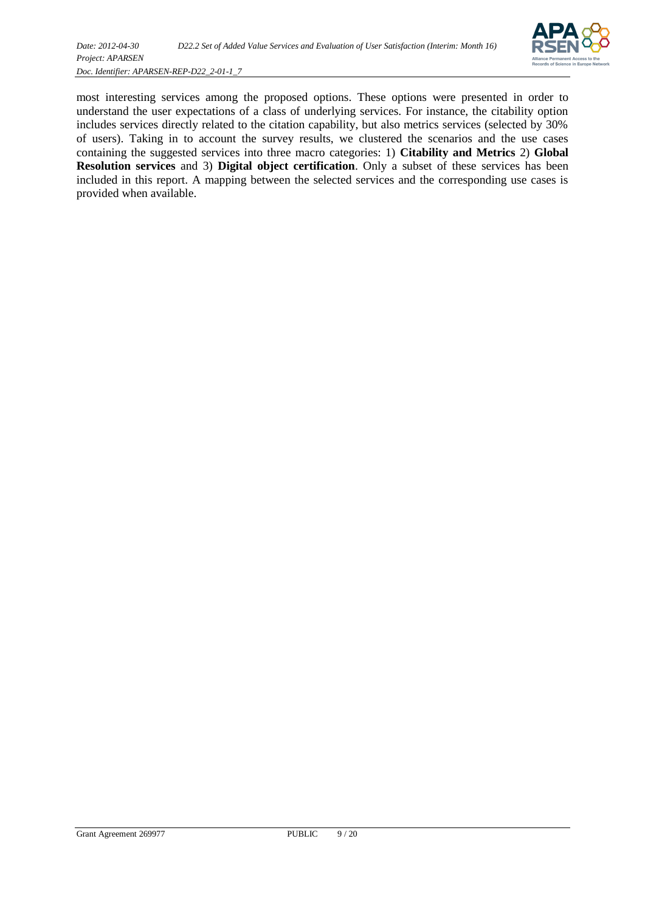

most interesting services among the proposed options. These options were presented in order to understand the user expectations of a class of underlying services. For instance, the citability option includes services directly related to the citation capability, but also metrics services (selected by 30% of users). Taking in to account the survey results, we clustered the scenarios and the use cases containing the suggested services into three macro categories: 1) **Citability and Metrics** 2) **Global Resolution services** and 3) **Digital object certification**. Only a subset of these services has been included in this report. A mapping between the selected services and the corresponding use cases is provided when available.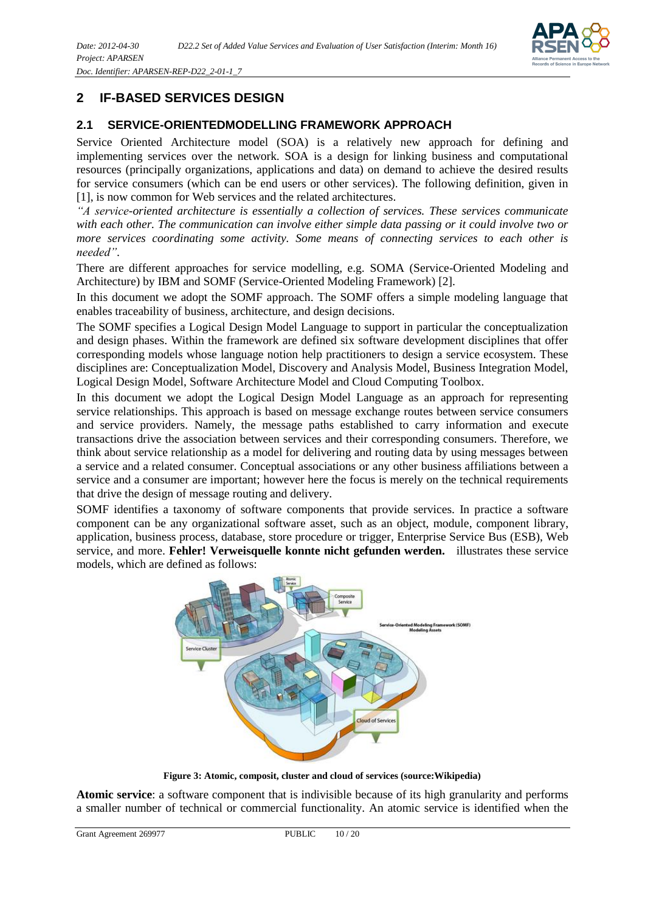

## <span id="page-9-0"></span>**2 IF-BASED SERVICES DESIGN**

#### <span id="page-9-1"></span>**2.1 SERVICE-ORIENTEDMODELLING FRAMEWORK APPROACH**

Service Oriented Architecture model (SOA) is a relatively new approach for defining and implementing services over the network. SOA is a design for linking business and computational resources (principally organizations, applications and data) on demand to achieve the desired results for service consumers (which can be end users or other services). The following definition, given in [1], is now common for Web services and the related architectures.

*"A service-oriented architecture is essentially a collection of services. These services communicate with each other. The communication can involve either simple data passing or it could involve two or more services coordinating some activity. Some means of connecting services to each other is needed"*.

There are different approaches for service modelling, e.g. SOMA (Service-Oriented Modeling and Architecture) by IBM and SOMF (Service-Oriented Modeling Framework) [2].

In this document we adopt the SOMF approach. The SOMF offers a simple modeling language that enables traceability of business, architecture, and design decisions.

The SOMF specifies a Logical Design Model Language to support in particular the conceptualization and design phases. Within the framework are defined six software development disciplines that offer corresponding models whose language notion help practitioners to design a service ecosystem. These disciplines are: Conceptualization Model, Discovery and Analysis Model, Business Integration Model, Logical Design Model, Software Architecture Model and Cloud Computing Toolbox.

In this document we adopt the Logical Design Model Language as an approach for representing service relationships. This approach is based on message exchange routes between service consumers and service providers. Namely, the message paths established to carry information and execute transactions drive the association between services and their corresponding consumers. Therefore, we think about service relationship as a model for delivering and routing data by using messages between a service and a related consumer. Conceptual associations or any other business affiliations between a service and a consumer are important; however here the focus is merely on the technical requirements that drive the design of message routing and delivery.

SOMF identifies a taxonomy of software components that provide services. In practice a software component can be any organizational software asset, such as an object, module, component library, application, business process, database, store procedure or trigger, Enterprise Service Bus (ESB), Web service, and more. **Fehler! Verweisquelle konnte nicht gefunden werden.** illustrates these service models, which are defined as follows:



**Figure 3: Atomic, composit, cluster and cloud of services (source:Wikipedia)**

**Atomic service**: a software component that is indivisible because of its high granularity and performs a smaller number of technical or commercial functionality. An atomic service is identified when the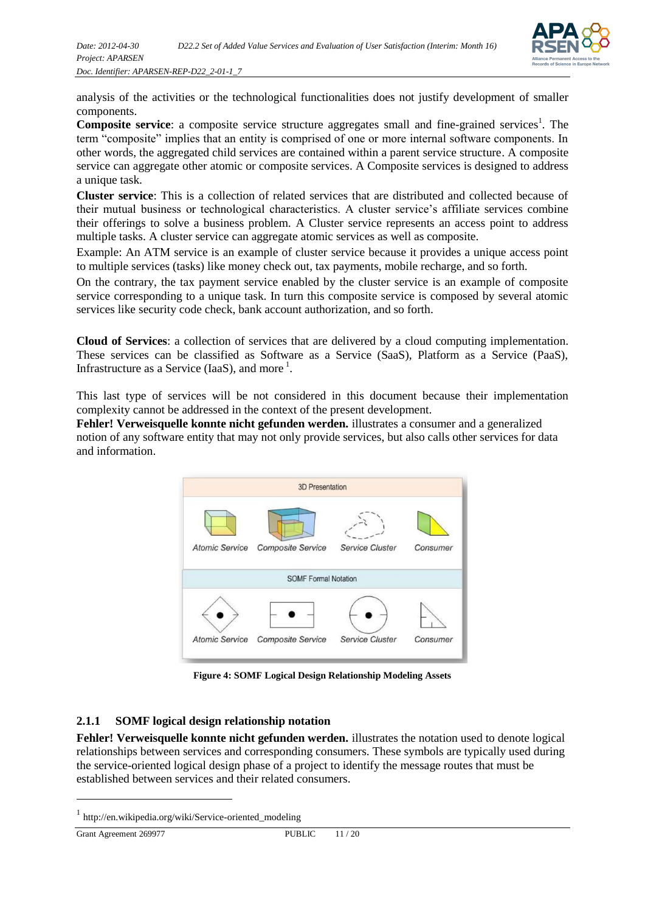

analysis of the activities or the technological functionalities does not justify development of smaller components.

**Composite service**: a composite service structure aggregates small and fine-grained services<sup>1</sup>. The term "composite" implies that an entity is comprised of one or more internal software components. In other words, the aggregated child services are contained within a parent service structure. A composite service can aggregate other atomic or composite services. A Composite services is designed to address a unique task.

**Cluster service**: This is a collection of related services that are distributed and collected because of their mutual business or technological characteristics. A cluster service's affiliate services combine their offerings to solve a business problem. A Cluster service represents an access point to address multiple tasks. A cluster service can aggregate atomic services as well as composite.

Example: An ATM service is an example of cluster service because it provides a unique access point to multiple services (tasks) like money check out, tax payments, mobile recharge, and so forth.

On the contrary, the tax payment service enabled by the cluster service is an example of composite service corresponding to a unique task. In turn this composite service is composed by several atomic services like security code check, bank account authorization, and so forth.

**Cloud of Services**: a collection of services that are delivered by a cloud computing implementation. These services can be classified as Software as a Service (SaaS), Platform as a Service (PaaS), Infrastructure as a Service (IaaS), and more<sup>1</sup>.

This last type of services will be not considered in this document because their implementation complexity cannot be addressed in the context of the present development.

**Fehler! Verweisquelle konnte nicht gefunden werden.** illustrates a consumer and a generalized notion of any software entity that may not only provide services, but also calls other services for data and information.



**Figure 4: SOMF Logical Design Relationship Modeling Assets**

#### <span id="page-10-0"></span>**2.1.1 SOMF logical design relationship notation**

**Fehler! Verweisquelle konnte nicht gefunden werden.** illustrates the notation used to denote logical relationships between services and corresponding consumers. These symbols are typically used during the service-oriented logical design phase of a project to identify the message routes that must be established between services and their related consumers.

l

<sup>1</sup> http://en.wikipedia.org/wiki/Service-oriented\_modeling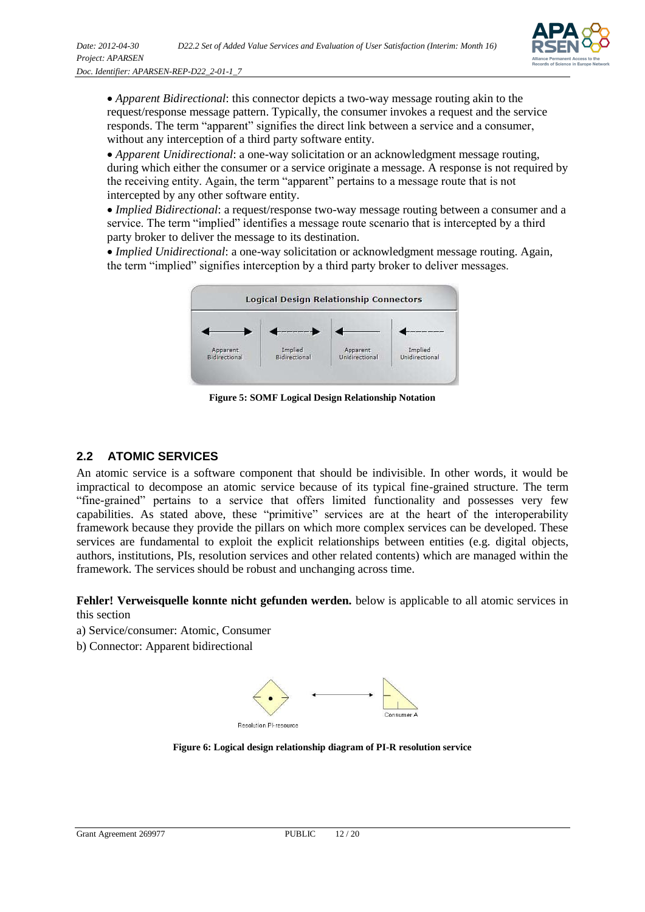

*Apparent Bidirectional*: this connector depicts a two-way message routing akin to the request/response message pattern. Typically, the consumer invokes a request and the service responds. The term "apparent" signifies the direct link between a service and a consumer, without any interception of a third party software entity.

*Apparent Unidirectional*: a one-way solicitation or an acknowledgment message routing, during which either the consumer or a service originate a message. A response is not required by the receiving entity. Again, the term "apparent" pertains to a message route that is not intercepted by any other software entity.

*Implied Bidirectional*: a request/response two-way message routing between a consumer and a service. The term "implied" identifies a message route scenario that is intercepted by a third party broker to deliver the message to its destination.

*Implied Unidirectional*: a one-way solicitation or acknowledgment message routing. Again, the term "implied" signifies interception by a third party broker to deliver messages.



**Figure 5: SOMF Logical Design Relationship Notation**

#### <span id="page-11-0"></span>**2.2 ATOMIC SERVICES**

An atomic service is a software component that should be indivisible. In other words, it would be impractical to decompose an atomic service because of its typical fine-grained structure. The term "fine-grained" pertains to a service that offers limited functionality and possesses very few capabilities. As stated above, these "primitive" services are at the heart of the interoperability framework because they provide the pillars on which more complex services can be developed. These services are fundamental to exploit the explicit relationships between entities (e.g. digital objects, authors, institutions, PIs, resolution services and other related contents) which are managed within the framework. The services should be robust and unchanging across time.

**Fehler! Verweisquelle konnte nicht gefunden werden.** below is applicable to all atomic services in this section

a) Service/consumer: Atomic, Consumer

b) Connector: Apparent bidirectional



**Figure 6: Logical design relationship diagram of PI-R resolution service**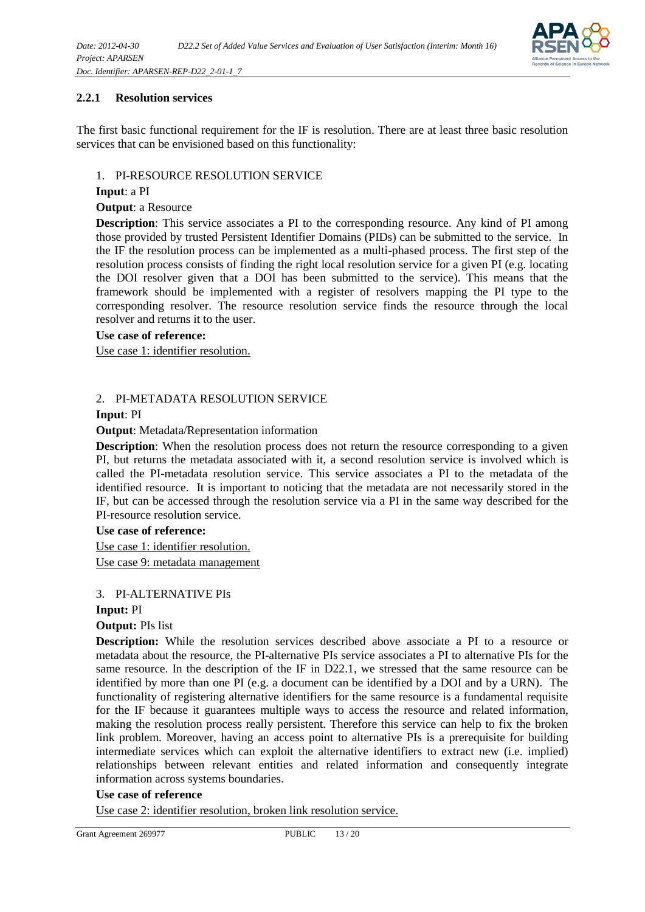

#### <span id="page-12-0"></span>**2.2.1 Resolution services**

The first basic functional requirement for the IF is resolution. There are at least three basic resolution services that can be envisioned based on this functionality:

#### 1. PI-RESOURCE RESOLUTION SERVICE

#### **Input**: a PI

#### **Output**: a Resource

**Description**: This service associates a PI to the corresponding resource. Any kind of PI among those provided by trusted Persistent Identifier Domains (PIDs) can be submitted to the service. In the IF the resolution process can be implemented as a multi-phased process. The first step of the resolution process consists of finding the right local resolution service for a given PI (e.g. locating the DOI resolver given that a DOI has been submitted to the service). This means that the framework should be implemented with a register of resolvers mapping the PI type to the corresponding resolver. The resource resolution service finds the resource through the local resolver and returns it to the user.

#### **Use case of reference:**

Use case 1: identifier resolution.

#### 2. PI-METADATA RESOLUTION SERVICE

#### **Input**: PI

#### **Output**: Metadata/Representation information

**Description**: When the resolution process does not return the resource corresponding to a given PI, but returns the metadata associated with it, a second resolution service is involved which is called the PI-metadata resolution service. This service associates a PI to the metadata of the identified resource. It is important to noticing that the metadata are not necessarily stored in the IF, but can be accessed through the resolution service via a PI in the same way described for the PI-resource resolution service.

#### **Use case of reference:**

Use case 1: identifier resolution. Use case 9: metadata management

#### 3. PI-ALTERNATIVE PIs

#### **Input:** PI

#### **Output:** PIs list

**Description:** While the resolution services described above associate a PI to a resource or metadata about the resource, the PI-alternative PIs service associates a PI to alternative PIs for the same resource. In the description of the IF in D22.1, we stressed that the same resource can be identified by more than one PI (e.g. a document can be identified by a DOI and by a URN). The functionality of registering alternative identifiers for the same resource is a fundamental requisite for the IF because it guarantees multiple ways to access the resource and related information, making the resolution process really persistent. Therefore this service can help to fix the broken link problem. Moreover, having an access point to alternative PIs is a prerequisite for building intermediate services which can exploit the alternative identifiers to extract new (i.e. implied) relationships between relevant entities and related information and consequently integrate information across systems boundaries.

#### **Use case of reference**

Use case 2: identifier resolution, broken link resolution service.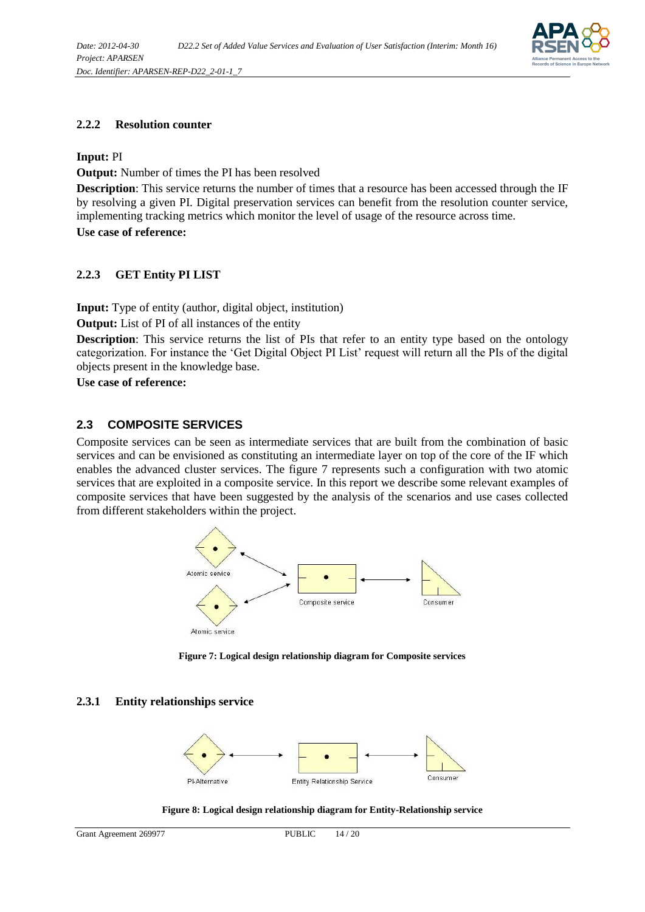

#### <span id="page-13-0"></span>**2.2.2 Resolution counter**

**Input:** PI

**Output:** Number of times the PI has been resolved

**Description**: This service returns the number of times that a resource has been accessed through the IF by resolving a given PI. Digital preservation services can benefit from the resolution counter service, implementing tracking metrics which monitor the level of usage of the resource across time. **Use case of reference:**

#### <span id="page-13-1"></span>**2.2.3 GET Entity PI LIST**

**Input:** Type of entity (author, digital object, institution)

**Output:** List of PI of all instances of the entity

**Description**: This service returns the list of PIs that refer to an entity type based on the ontology categorization. For instance the 'Get Digital Object PI List' request will return all the PIs of the digital objects present in the knowledge base.

**Use case of reference:**

#### <span id="page-13-2"></span>**2.3 COMPOSITE SERVICES**

Composite services can be seen as intermediate services that are built from the combination of basic services and can be envisioned as constituting an intermediate layer on top of the core of the IF which enables the advanced cluster services. The figure 7 represents such a configuration with two atomic services that are exploited in a composite service. In this report we describe some relevant examples of composite services that have been suggested by the analysis of the scenarios and use cases collected from different stakeholders within the project.



**Figure 7: Logical design relationship diagram for Composite services**

#### <span id="page-13-3"></span>**2.3.1 Entity relationships service**



**Figure 8: Logical design relationship diagram for Entity-Relationship service**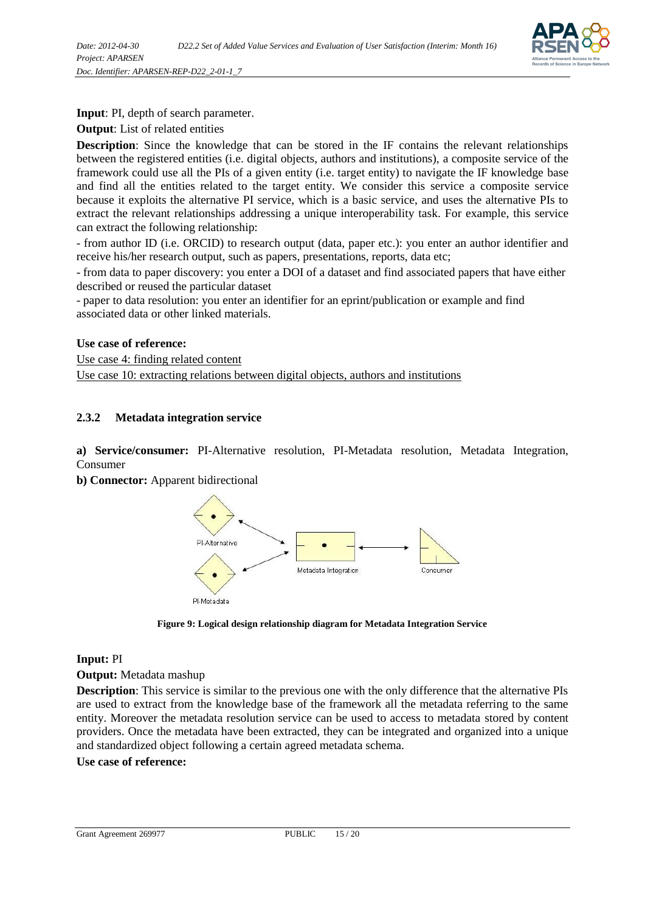

**Input**: PI, depth of search parameter.

**Output**: List of related entities

**Description**: Since the knowledge that can be stored in the IF contains the relevant relationships between the registered entities (i.e. digital objects, authors and institutions), a composite service of the framework could use all the PIs of a given entity (i.e. target entity) to navigate the IF knowledge base and find all the entities related to the target entity. We consider this service a composite service because it exploits the alternative PI service, which is a basic service, and uses the alternative PIs to extract the relevant relationships addressing a unique interoperability task. For example, this service can extract the following relationship:

- from author ID (i.e. ORCID) to research output (data, paper etc.): you enter an author identifier and receive his/her research output, such as papers, presentations, reports, data etc;

- from data to paper discovery: you enter a DOI of a dataset and find associated papers that have either described or reused the particular dataset

- paper to data resolution: you enter an identifier for an eprint/publication or example and find associated data or other linked materials.

#### **Use case of reference:**

Use case 4: finding related content Use case 10: extracting relations between digital objects, authors and institutions

#### <span id="page-14-0"></span>**2.3.2 Metadata integration service**

**a) Service/consumer:** PI-Alternative resolution, PI-Metadata resolution, Metadata Integration, Consumer

**b) Connector:** Apparent bidirectional



**Figure 9: Logical design relationship diagram for Metadata Integration Service**

#### **Input:** PI

**Output:** Metadata mashup

**Description**: This service is similar to the previous one with the only difference that the alternative PIs are used to extract from the knowledge base of the framework all the metadata referring to the same entity. Moreover the metadata resolution service can be used to access to metadata stored by content providers. Once the metadata have been extracted, they can be integrated and organized into a unique and standardized object following a certain agreed metadata schema.

#### **Use case of reference:**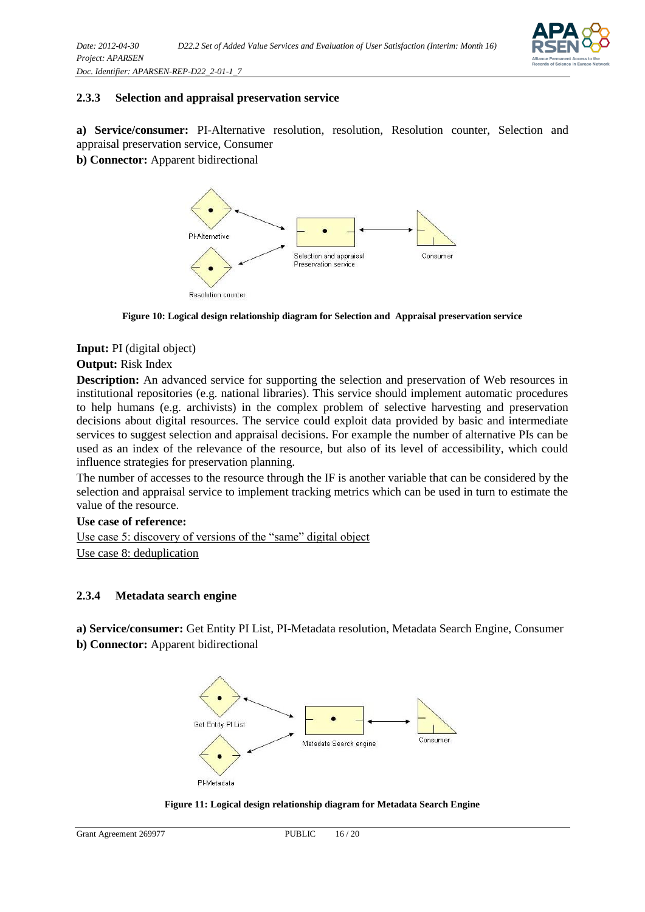

#### <span id="page-15-0"></span>**2.3.3 Selection and appraisal preservation service**

**a) Service/consumer:** PI-Alternative resolution, resolution, Resolution counter, Selection and appraisal preservation service, Consumer

**b) Connector:** Apparent bidirectional



**Figure 10: Logical design relationship diagram for Selection and Appraisal preservation service**

**Input:** PI (digital object)

#### **Output:** Risk Index

**Description:** An advanced service for supporting the selection and preservation of Web resources in institutional repositories (e.g. national libraries). This service should implement automatic procedures to help humans (e.g. archivists) in the complex problem of selective harvesting and preservation decisions about digital resources. The service could exploit data provided by basic and intermediate services to suggest selection and appraisal decisions. For example the number of alternative PIs can be used as an index of the relevance of the resource, but also of its level of accessibility, which could influence strategies for preservation planning.

The number of accesses to the resource through the IF is another variable that can be considered by the selection and appraisal service to implement tracking metrics which can be used in turn to estimate the value of the resource.

#### **Use case of reference:**

Use case 5: discovery of versions of the "same" digital object Use case 8: deduplication

#### <span id="page-15-1"></span>**2.3.4 Metadata search engine**

**a) Service/consumer:** Get Entity PI List, PI-Metadata resolution, Metadata Search Engine, Consumer

**b) Connector:** Apparent bidirectional



**Figure 11: Logical design relationship diagram for Metadata Search Engine**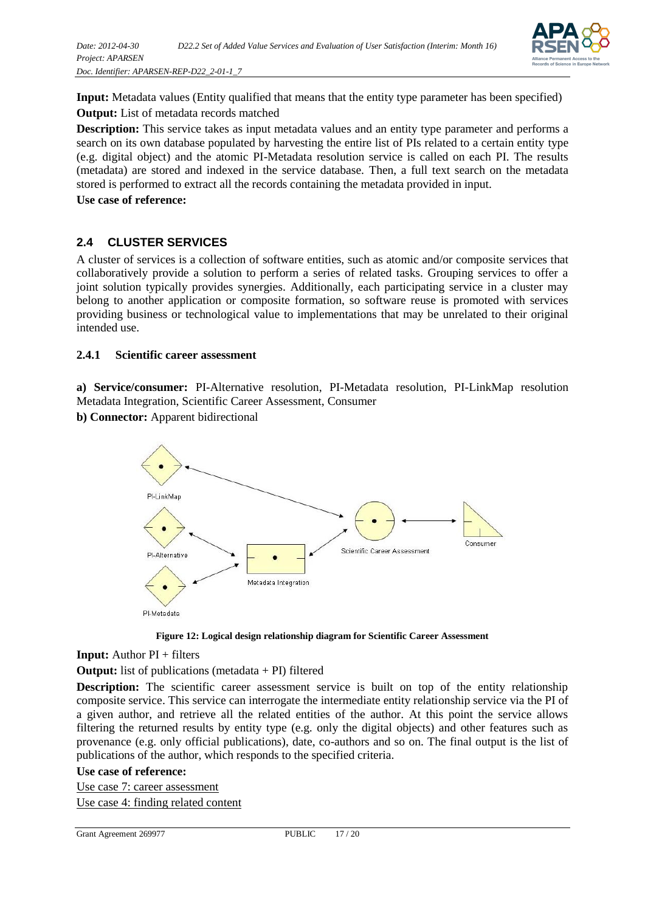

**Input:** Metadata values (Entity qualified that means that the entity type parameter has been specified) **Output:** List of metadata records matched

**Description:** This service takes as input metadata values and an entity type parameter and performs a search on its own database populated by harvesting the entire list of PIs related to a certain entity type (e.g. digital object) and the atomic PI-Metadata resolution service is called on each PI. The results (metadata) are stored and indexed in the service database. Then, a full text search on the metadata stored is performed to extract all the records containing the metadata provided in input.

**Use case of reference:**

#### <span id="page-16-0"></span>**2.4 CLUSTER SERVICES**

A cluster of services is a collection of software entities, such as atomic and/or composite services that collaboratively provide a solution to perform a series of related tasks. Grouping services to offer a joint solution typically provides synergies. Additionally, each participating service in a cluster may belong to another application or composite formation, so software reuse is promoted with services providing business or technological value to implementations that may be unrelated to their original intended use.

#### <span id="page-16-1"></span>**2.4.1 Scientific career assessment**

**a) Service/consumer:** PI-Alternative resolution, PI-Metadata resolution, PI-LinkMap resolution Metadata Integration, Scientific Career Assessment, Consumer

**b) Connector:** Apparent bidirectional



**Figure 12: Logical design relationship diagram for Scientific Career Assessment**

**Input:** Author PI + filters

**Output:** list of publications (metadata + PI) filtered

**Description:** The scientific career assessment service is built on top of the entity relationship composite service. This service can interrogate the intermediate entity relationship service via the PI of a given author, and retrieve all the related entities of the author. At this point the service allows filtering the returned results by entity type (e.g. only the digital objects) and other features such as provenance (e.g. only official publications), date, co-authors and so on. The final output is the list of publications of the author, which responds to the specified criteria.

#### **Use case of reference:**

Use case 7: career assessment Use case 4: finding related content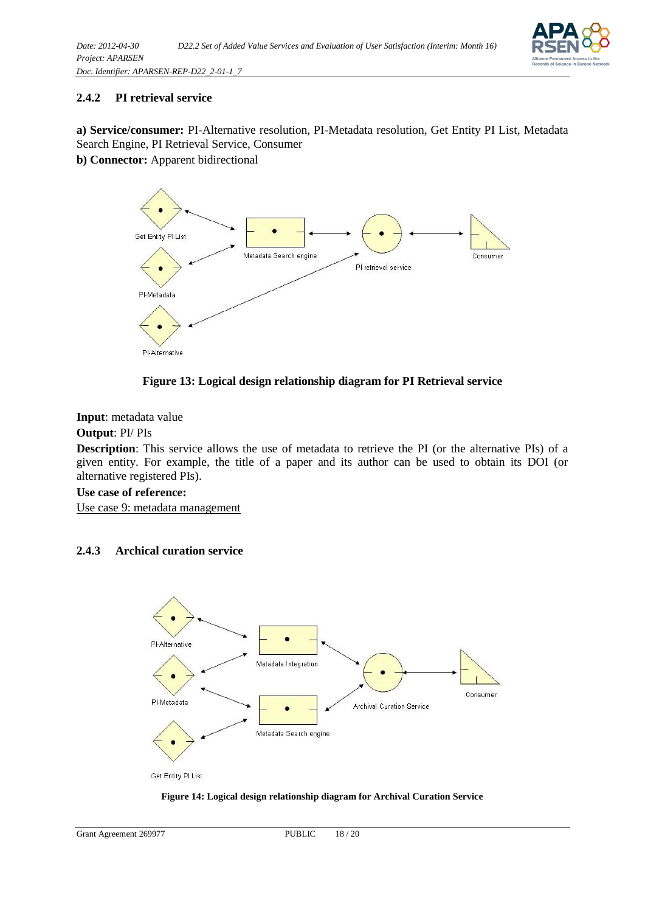

#### <span id="page-17-0"></span>**2.4.2 PI retrieval service**

**a) Service/consumer:** PI-Alternative resolution, PI-Metadata resolution, Get Entity PI List, Metadata Search Engine, PI Retrieval Service, Consumer

**b) Connector:** Apparent bidirectional



**Figure 13: Logical design relationship diagram for PI Retrieval service**

#### **Input**: metadata value

#### **Output**: PI/ PIs

**Description**: This service allows the use of metadata to retrieve the PI (or the alternative PIs) of a given entity. For example, the title of a paper and its author can be used to obtain its DOI (or alternative registered PIs).

#### **Use case of reference:**

Use case 9: metadata management

#### <span id="page-17-1"></span>**2.4.3 Archical curation service**



#### **Figure 14: Logical design relationship diagram for Archival Curation Service**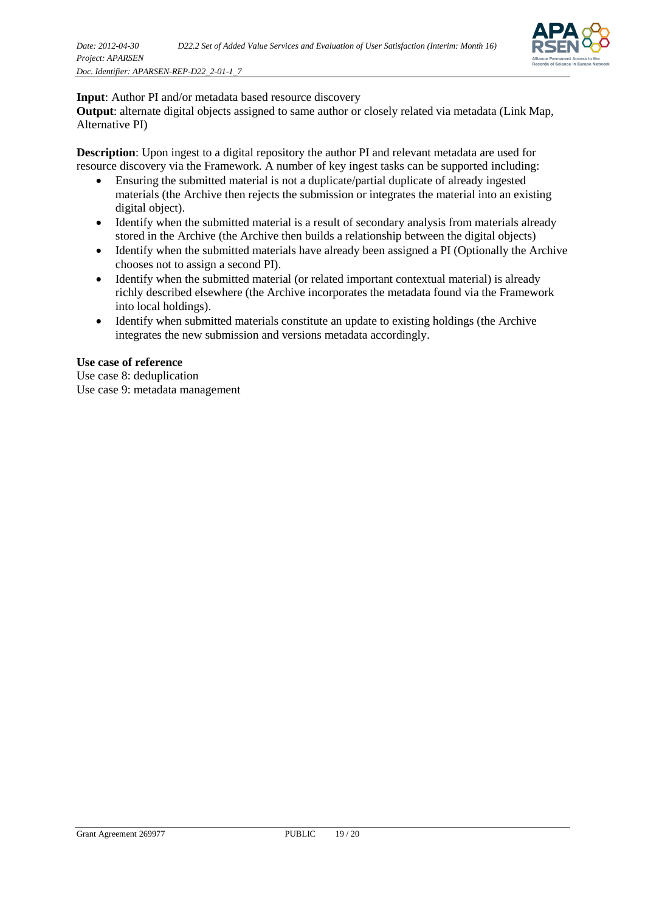

#### **Input**: Author PI and/or metadata based resource discovery

**Output**: alternate digital objects assigned to same author or closely related via metadata (Link Map, Alternative PI)

**Description**: Upon ingest to a digital repository the author PI and relevant metadata are used for resource discovery via the Framework. A number of key ingest tasks can be supported including:

- Ensuring the submitted material is not a duplicate/partial duplicate of already ingested materials (the Archive then rejects the submission or integrates the material into an existing digital object).
- Identify when the submitted material is a result of secondary analysis from materials already stored in the Archive (the Archive then builds a relationship between the digital objects)
- Identify when the submitted materials have already been assigned a PI (Optionally the Archive chooses not to assign a second PI).
- Identify when the submitted material (or related important contextual material) is already richly described elsewhere (the Archive incorporates the metadata found via the Framework into local holdings).
- Identify when submitted materials constitute an update to existing holdings (the Archive integrates the new submission and versions metadata accordingly.

#### **Use case of reference**

Use case 8: deduplication

Use case 9: metadata management